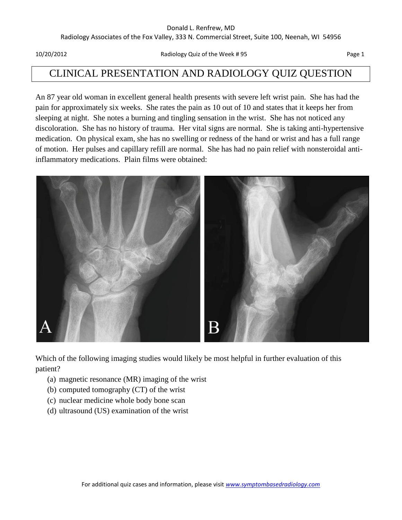#### Donald L. Renfrew, MD

Radiology Associates of the Fox Valley, 333 N. Commercial Street, Suite 100, Neenah, WI 54956

10/20/2012 Radiology Quiz of the Week # 95 Page 1

# CLINICAL PRESENTATION AND RADIOLOGY QUIZ QUESTION

An 87 year old woman in excellent general health presents with severe left wrist pain. She has had the pain for approximately six weeks. She rates the pain as 10 out of 10 and states that it keeps her from sleeping at night. She notes a burning and tingling sensation in the wrist. She has not noticed any discoloration. She has no history of trauma. Her vital signs are normal. She is taking anti-hypertensive medication. On physical exam, she has no swelling or redness of the hand or wrist and has a full range of motion. Her pulses and capillary refill are normal. She has had no pain relief with nonsteroidal antiinflammatory medications. Plain films were obtained:



Which of the following imaging studies would likely be most helpful in further evaluation of this patient?

- (a) magnetic resonance (MR) imaging of the wrist
- (b) computed tomography (CT) of the wrist
- (c) nuclear medicine whole body bone scan
- (d) ultrasound (US) examination of the wrist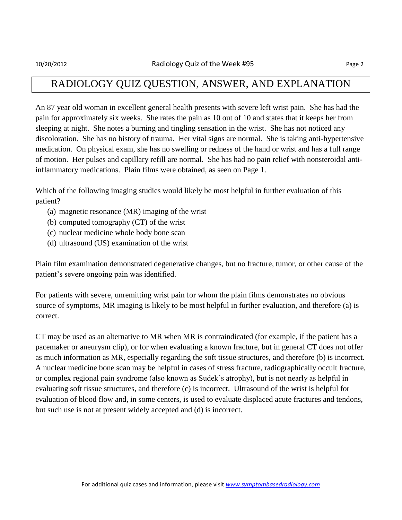### RADIOLOGY QUIZ QUESTION, ANSWER, AND EXPLANATION

An 87 year old woman in excellent general health presents with severe left wrist pain. She has had the pain for approximately six weeks. She rates the pain as 10 out of 10 and states that it keeps her from sleeping at night. She notes a burning and tingling sensation in the wrist. She has not noticed any discoloration. She has no history of trauma. Her vital signs are normal. She is taking anti-hypertensive medication. On physical exam, she has no swelling or redness of the hand or wrist and has a full range of motion. Her pulses and capillary refill are normal. She has had no pain relief with nonsteroidal antiinflammatory medications. Plain films were obtained, as seen on Page 1.

Which of the following imaging studies would likely be most helpful in further evaluation of this patient?

- (a) magnetic resonance (MR) imaging of the wrist
- (b) computed tomography (CT) of the wrist
- (c) nuclear medicine whole body bone scan
- (d) ultrasound (US) examination of the wrist

Plain film examination demonstrated degenerative changes, but no fracture, tumor, or other cause of the patient's severe ongoing pain was identified.

For patients with severe, unremitting wrist pain for whom the plain films demonstrates no obvious source of symptoms, MR imaging is likely to be most helpful in further evaluation, and therefore (a) is correct.

CT may be used as an alternative to MR when MR is contraindicated (for example, if the patient has a pacemaker or aneurysm clip), or for when evaluating a known fracture, but in general CT does not offer as much information as MR, especially regarding the soft tissue structures, and therefore (b) is incorrect. A nuclear medicine bone scan may be helpful in cases of stress fracture, radiographically occult fracture, or complex regional pain syndrome (also known as Sudek's atrophy), but is not nearly as helpful in evaluating soft tissue structures, and therefore (c) is incorrect. Ultrasound of the wrist is helpful for evaluation of blood flow and, in some centers, is used to evaluate displaced acute fractures and tendons, but such use is not at present widely accepted and (d) is incorrect.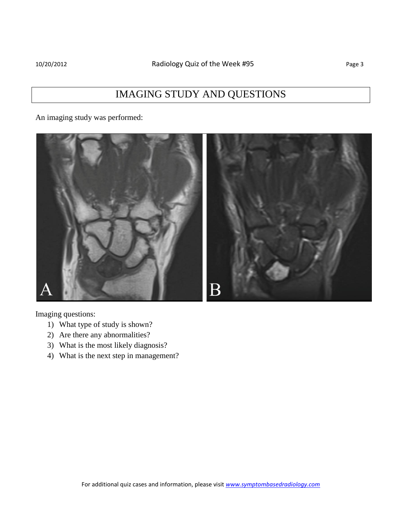An imaging study was performed:



Imaging questions:

- 1) What type of study is shown?
- 2) Are there any abnormalities?
- 3) What is the most likely diagnosis?
- 4) What is the next step in management?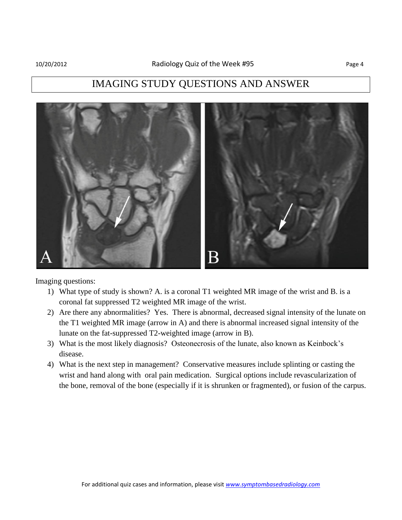### IMAGING STUDY QUESTIONS AND ANSWER



Imaging questions:

- 1) What type of study is shown? A. is a coronal T1 weighted MR image of the wrist and B. is a coronal fat suppressed T2 weighted MR image of the wrist.
- 2) Are there any abnormalities? Yes. There is abnormal, decreased signal intensity of the lunate on the T1 weighted MR image (arrow in A) and there is abnormal increased signal intensity of the lunate on the fat-suppressed T2-weighted image (arrow in B).
- 3) What is the most likely diagnosis? Osteonecrosis of the lunate, also known as Keinbock's disease.
- 4) What is the next step in management? Conservative measures include splinting or casting the wrist and hand along with oral pain medication. Surgical options include revascularization of the bone, removal of the bone (especially if it is shrunken or fragmented), or fusion of the carpus.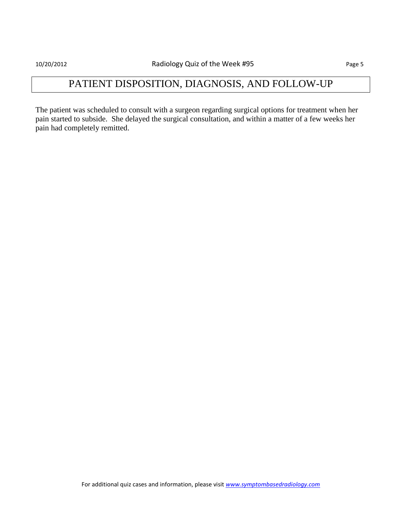## PATIENT DISPOSITION, DIAGNOSIS, AND FOLLOW-UP

The patient was scheduled to consult with a surgeon regarding surgical options for treatment when her pain started to subside. She delayed the surgical consultation, and within a matter of a few weeks her pain had completely remitted.